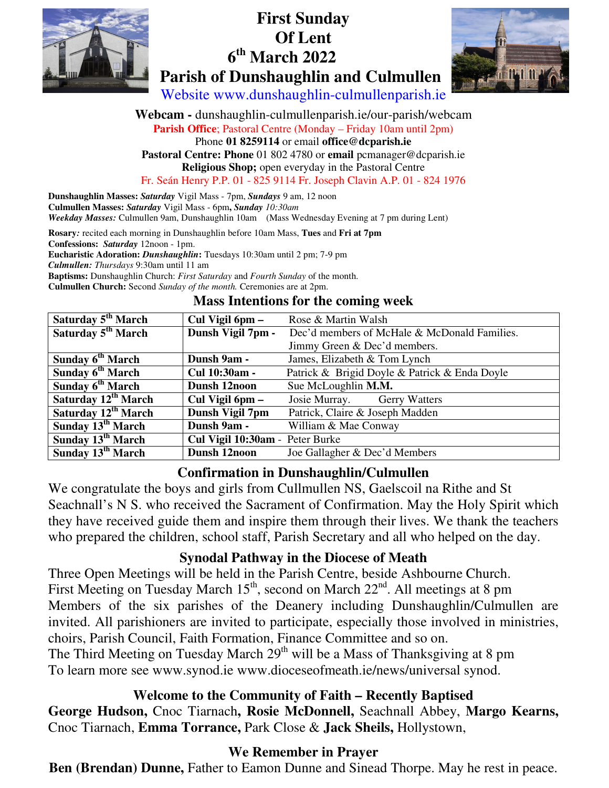

# **First Sunday Of Lent th March 2022 Parish of Dunshaughlin and Culmullen**



Website www.dunshaughlin-culmullenparish.ie

**Webcam -** dunshaughlin-culmullenparish.ie/our-parish/webcam **Parish Office**; Pastoral Centre (Monday – Friday 10am until 2pm) Phone **01 8259114** or email **office@dcparish.ie Pastoral Centre: Phone** 01 802 4780 or **email** pcmanager@dcparish.ie **Religious Shop;** open everyday in the Pastoral Centre Fr. Seán Henry P.P. 01 - 825 9114 Fr. Joseph Clavin A.P. 01 - 824 1976

**Dunshaughlin Masses:** *Saturday* Vigil Mass - 7pm, *Sundays* 9 am, 12 noon **Culmullen Masses:** *Saturday* Vigil Mass - 6pm**,** *Sunday 10:30am Weekday Masses:* Culmullen 9am, Dunshaughlin 10am (Mass Wednesday Evening at 7 pm during Lent)

**Rosary***:* recited each morning in Dunshaughlin before 10am Mass, **Tues** and **Fri at 7pm**

**Confessions:** *Saturday* 12noon - 1pm.

**Eucharistic Adoration:** *Dunshaughlin***:** Tuesdays 10:30am until 2 pm; 7-9 pm

*Culmullen: Thursdays* 9:30am until 11 am

**Baptisms:** Dunshaughlin Church: *First Saturday* and *Fourth Sunday* of the month.

**Culmullen Church:** Second *Sunday of the month.* Ceremonies are at 2pm.

#### **Mass Intentions for the coming week**

| Saturday 5 <sup>th</sup> March  | Cul Vigil 6pm –                 | Rose & Martin Walsh                           |
|---------------------------------|---------------------------------|-----------------------------------------------|
| Saturday 5 <sup>th</sup> March  | Dunsh Vigil 7pm -               | Dec'd members of McHale & McDonald Families.  |
|                                 |                                 | Jimmy Green & Dec'd members.                  |
| Sunday 6 <sup>th</sup> March    | Dunsh 9am -                     | James, Elizabeth & Tom Lynch                  |
| Sunday 6 <sup>th</sup> March    | Cul 10:30am -                   | Patrick & Brigid Doyle & Patrick & Enda Doyle |
| Sunday 6 <sup>th</sup> March    | Dunsh 12noon                    | Sue McLoughlin M.M.                           |
| Saturday 12 <sup>th</sup> March | Cul Vigil 6pm -                 | Josie Murray.<br><b>Gerry Watters</b>         |
| Saturday 12 <sup>th</sup> March | Dunsh Vigil 7pm                 | Patrick, Claire & Joseph Madden               |
| Sunday 13 <sup>th</sup> March   | Dunsh 9am -                     | William & Mae Conway                          |
| Sunday 13 <sup>th</sup> March   | Cul Vigil 10:30am - Peter Burke |                                               |
| Sunday 13 <sup>th</sup> March   | Dunsh 12noon                    | Joe Gallagher & Dec'd Members                 |

#### **Confirmation in Dunshaughlin/Culmullen**

We congratulate the boys and girls from Cullmullen NS, Gaelscoil na Rithe and St Seachnall's N S. who received the Sacrament of Confirmation. May the Holy Spirit which they have received guide them and inspire them through their lives. We thank the teachers who prepared the children, school staff, Parish Secretary and all who helped on the day.

#### **Synodal Pathway in the Diocese of Meath**

Three Open Meetings will be held in the Parish Centre, beside Ashbourne Church. First Meeting on Tuesday March 15<sup>th</sup>, second on March 22<sup>nd</sup>. All meetings at 8 pm Members of the six parishes of the Deanery including Dunshaughlin/Culmullen are invited. All parishioners are invited to participate, especially those involved in ministries, choirs, Parish Council, Faith Formation, Finance Committee and so on. The Third Meeting on Tuesday March 29<sup>th</sup> will be a Mass of Thanksgiving at 8 pm To learn more see www.synod.ie www.dioceseofmeath.ie/news/universal synod.

#### **Welcome to the Community of Faith – Recently Baptised**

**George Hudson,** Cnoc Tiarnach**, Rosie McDonnell,** Seachnall Abbey, **Margo Kearns,** Cnoc Tiarnach, **Emma Torrance,** Park Close & **Jack Sheils,** Hollystown,

#### **We Remember in Prayer**

**Ben (Brendan) Dunne,** Father to Eamon Dunne and Sinead Thorpe. May he rest in peace.